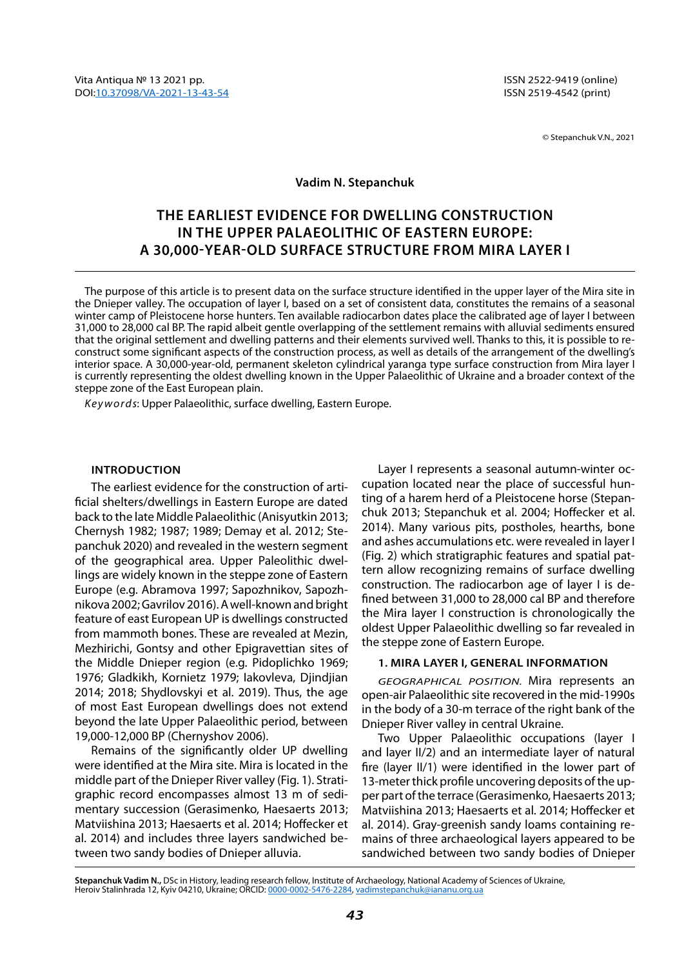© Stepanchuk V.N., 2021

### **Vadim N. Stepanchuk**

# **The earliest evidence for dwelling construction in the Upper Palaeolithic of Eastern Europe: a 30,000-year-old surface structure from Mira layer I**

The purpose of this article is to present data on the surface structure identified in the upper layer of the Mira site in the Dnieper valley. The occupation of layer I, based on a set of consistent data, constitutes the remains of a seasonal winter camp of Pleistocene horse hunters. Ten available radiocarbon dates place the calibrated age of layer I between 31,000 to 28,000 cal BP. The rapid albeit gentle overlapping of the settlement remains with alluvial sediments ensured that the original settlement and dwelling patterns and their elements survived well. Thanks to this, it is possible to reconstruct some significant aspects of the construction process, as well as details of the arrangement of the dwelling's interior space. A 30,000-year-old, permanent skeleton cylindrical yaranga type surface construction from Mira layer I is currently representing the oldest dwelling known in the Upper Palaeolithic of Ukraine and a broader context of the steppe zone of the East European plain.

*Keywords*: Upper Palaeolithic, surface dwelling, Eastern Europe.

### **Introduction**

The earliest evidence for the construction of artificial shelters/dwellings in Eastern Europe are dated back to the late Middle Palaeolithic (Anisyutkin 2013; Chernysh 1982; 1987; 1989; Demay et al. 2012; Stepanchuk 2020) and revealed in the western segment of the geographical area. Upper Paleolithic dwellings are widely known in the steppe zone of Eastern Europe (e.g. Abramova 1997; Sapozhnikov, Sapozhnikova 2002; Gavrilov 2016). A well-known and bright feature of east European UP is dwellings constructed from mammoth bones. These are revealed at Mezin, Mezhirichi, Gontsy and other Epigravettian sites of the Middle Dnieper region (e.g. Pidoplichko 1969; 1976; Gladkikh, Kornietz 1979; Iakovleva, Djindjian 2014; 2018; Shydlovskyi et al. 2019). Thus, the age of most East European dwellings does not extend beyond the late Upper Palaeolithic period, between 19,000-12,000 BP (Chernyshov 2006).

Remains of the significantly older UP dwelling were identified at the Mira site. Mira is located in the middle part of the Dnieper River valley (Fig. 1). Stratigraphic record encompasses almost 13 m of sedimentary succession (Gerasimenko, Haesaerts 2013; Matviishina 2013; Haesaerts et al. 2014; Hoffecker et al. 2014) and includes three layers sandwiched between two sandy bodies of Dnieper alluvia.

Layer I represents a seasonal autumn-winter occupation located near the place of successful hunting of a harem herd of a Pleistocene horse (Stepanchuk 2013; Stepanchuk et al. 2004; Hoffecker et al. 2014). Many various pits, postholes, hearths, bone and ashes accumulations etc. were revealed in layer I (Fig. 2) which stratigraphic features and spatial pattern allow recognizing remains of surface dwelling construction. The radiocarbon age of layer I is defined between 31,000 to 28,000 cal BP and therefore the Mira layer I construction is chronologically the oldest Upper Palaeolithic dwelling so far revealed in the steppe zone of Eastern Europe.

### **1. Mira layer I, general information**

*Geographical position.* Mira represents an open-air Palaeolithic site recovered in the mid-1990s in the body of a 30-m terrace of the right bank of the Dnieper River valley in central Ukraine.

Two Upper Palaeolithic occupations (layer I and layer II/2) and an intermediate layer of natural fire (layer II/1) were identified in the lower part of 13-meter thick profile uncovering deposits of the upper part of the terrace (Gerasimenko, Haesaerts 2013; Matviishina 2013; Haesaerts et al. 2014; Hoffecker et al. 2014). Gray-greenish sandy loams containing remains of three archaeological layers appeared to be sandwiched between two sandy bodies of Dnieper

**Stepanchuk Vadіm N.,** DSc in History, leading research fellow, Institute of Archaeology, National Academy of Sciences of Ukraine, Heroiv Stalinhrada 12, Kyiv 04210, Ukraine; ORCID: [0000-0002-5476-2284](https://orcid.org/0000-0002-5476-2284), [vadimstepanchuk@iananu.org.ua](mailto:vadimstepanchuk%40iananu.org.ua?subject=)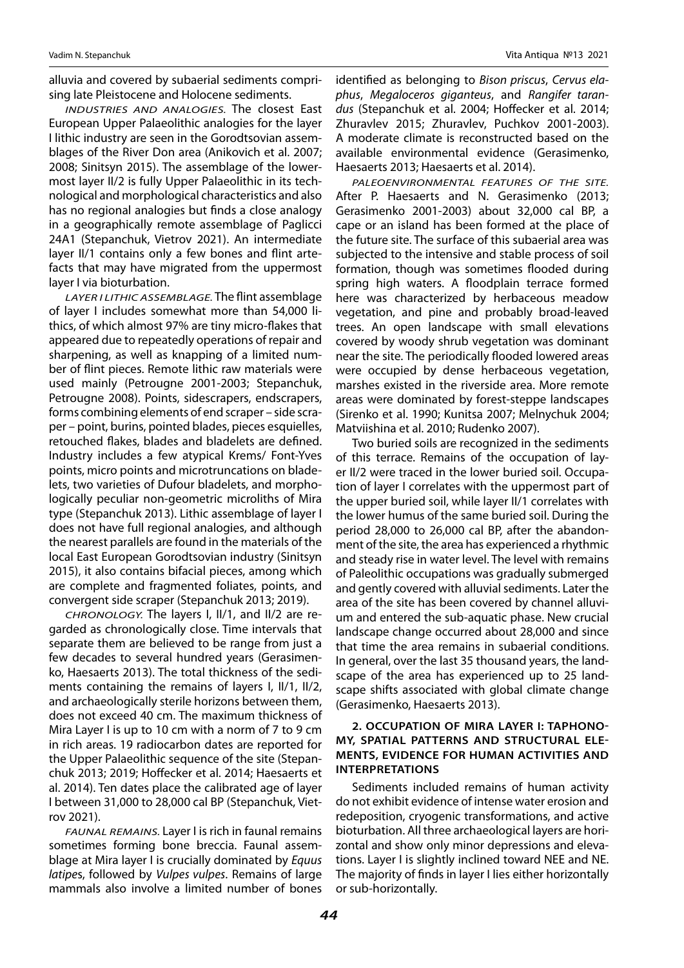alluvia and covered by subaerial sediments comprising late Pleistocene and Holocene sediments.

*Industries and analogies.* The closest East European Upper Palaeolithic analogies for the layer I lithic industry are seen in the Gorodtsovian assemblages of the River Don area (Anikovich et al. 2007; 2008; Sinitsyn 2015). The assemblage of the lowermost layer II/2 is fully Upper Palaeolithic in its technological and morphological characteristics and also has no regional analogies but finds a close analogy in a geographically remote assemblage of Paglicci 24A1 (Stepanchuk, Vietrov 2021). An intermediate layer II/1 contains only a few bones and flint artefacts that may have migrated from the uppermost layer I via bioturbation.

*Layer I lithic assemblage.* The flint assemblage of layer I includes somewhat more than 54,000 lithics, of which almost 97% are tiny micro-flakes that appeared due to repeatedly operations of repair and sharpening, as well as knapping of a limited number of flint pieces. Remote lithic raw materials were used mainly (Petrоugne 2001-2003; Stepanchuk, Petrоugne 2008). Points, sidescrapers, endscrapers, forms combining elements of end scraper – side scraper – point, burins, pointed blades, pieces esquielles, retouched flakes, blades and bladelets are defined. Industry includes a few atypical Krems/ Font-Yves points, micro points and microtruncations on bladelets, two varieties of Dufour bladelets, and morphologically peculiar non-geometric microliths of Mira type (Stepanchuk 2013). Lithic assemblage of layer I does not have full regional analogies, and although the nearest parallels are found in the materials of the local East European Gorodtsovian industry (Sinitsyn 2015), it also contains bifacial pieces, among which are complete and fragmented foliates, points, and convergent side scraper (Stepanchuk 2013; 2019).

*Chronology.* The layers I, II/1, and II/2 are regarded as chronologically close. Time intervals that separate them are believed to be range from just a few decades to several hundred years (Gerasimenko, Haesaerts 2013). The total thickness of the sediments containing the remains of layers I, II/1, II/2, and archaeologically sterile horizons between them, does not exceed 40 cm. The maximum thickness of Mira Layer I is up to 10 cm with a norm of 7 to 9 cm in rich areas. 19 radiocarbon dates are reported for the Upper Palaeolithic sequence of the site (Stepanchuk 2013; 2019; Hoffecker et al. 2014; Haesaerts et al. 2014). Ten dates place the calibrated age of layer I between 31,000 to 28,000 cal BP (Stepanchuk, Vietrov 2021).

*Faunal remains.* Layer I is rich in faunal remains sometimes forming bone breccia. Faunal assemblage at Mira layer I is crucially dominated by *Equus latipe*s, followed by *Vulpes vulpes*. Remains of large mammals also involve a limited number of bones identified as belonging to *Bison priscus*, *Cervus elaphus*, *Megaloceros giganteus*, and *Rangifer tarandus* (Stepanchuk et al. 2004; Hoffecker et al. 2014; Zhuravlev 2015; Zhuravlev, Puchkov 2001-2003). A moderate climate is reconstructed based on the available environmental evidence (Gerasimenko, Haesaerts 2013; Haesaerts et al. 2014).

*Paleoenvironmental features of the site.*  After P. Haesaerts and N. Gerasimenko (2013; Gerasimenko 2001-2003) about 32,000 cal BP, a cape or an island has been formed at the place of the future site. The surface of this subaerial area was subjected to the intensive and stable process of soil formation, though was sometimes flooded during spring high waters. A floodplain terrace formed here was characterized by herbaceous meadow vegetation, and pine and probably broad-leaved trees. An open landscape with small elevations covered by woody shrub vegetation was dominant near the site. The periodically flooded lowered areas were occupied by dense herbaceous vegetation, marshes existed in the riverside area. More remote areas were dominated by forest-steppe landscapes (Sirenko et al. 1990; Kunitsa 2007; Melnychuk 2004; Matviishina et al. 2010; Rudenko 2007).

Two buried soils are recognized in the sediments of this terrace. Remains of the occupation of layer II/2 were traced in the lower buried soil. Occupation of layer I correlates with the uppermost part of the upper buried soil, while layer II/1 correlates with the lower humus of the same buried soil. During the period 28,000 to 26,000 cal BP, after the abandonment of the site, the area has experienced a rhythmic and steady rise in water level. The level with remains of Paleolithic occupations was gradually submerged and gently covered with alluvial sediments. Later the area of the site has been covered by channel alluvium and entered the sub-aquatic phase. New crucial landscape change occurred about 28,000 and since that time the area remains in subaerial conditions. In general, over the last 35 thousand years, the landscape of the area has experienced up to 25 landscape shifts associated with global climate change (Gerasimenko, Haesaerts 2013).

## **2. Occupation of Mira layer I: taphonomy, spatial patterns and structural elements, evidence for human activities and interpretations**

Sediments included remains of human activity do not exhibit evidence of intense water erosion and redeposition, cryogenic transformations, and active bioturbation. All three archaeological layers are horizontal and show only minor depressions and elevations. Layer I is slightly inclined toward NEE and NE. The majority of finds in layer I lies either horizontally or sub-horizontally.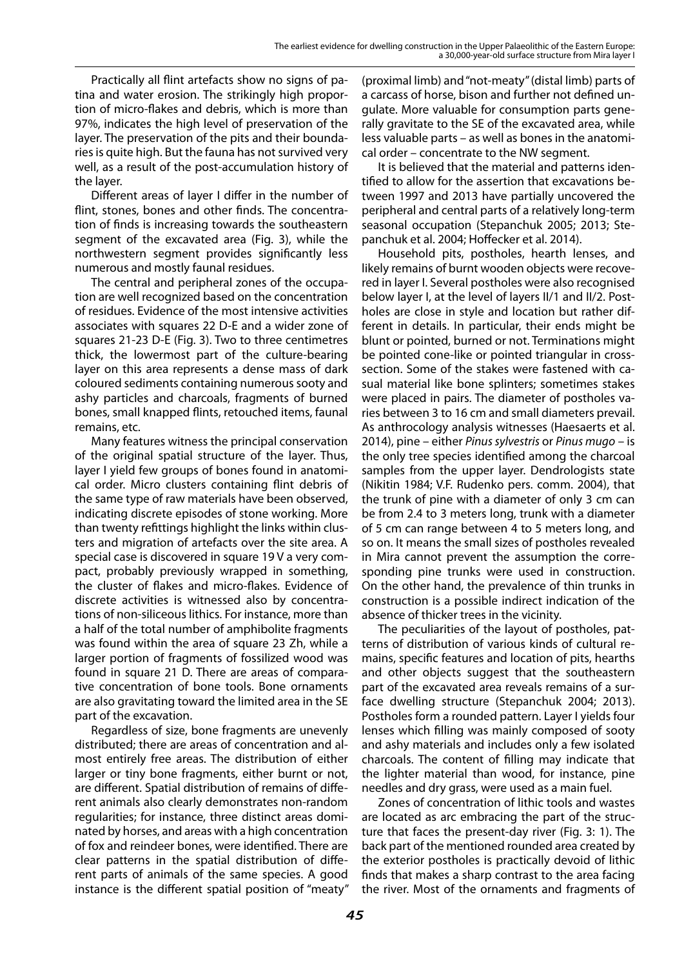Practically all flint artefacts show no signs of patina and water erosion. The strikingly high proportion of micro-flakes and debris, which is more than 97%, indicates the high level of preservation of the layer. The preservation of the pits and their boundaries is quite high. But the fauna has not survived very well, as a result of the post-accumulation history of the layer.

Different areas of layer I differ in the number of flint, stones, bones and other finds. The concentration of finds is increasing towards the southeastern segment of the excavated area (Fig. 3), while the northwestern segment provides significantly less numerous and mostly faunal residues.

The central and peripheral zones of the occupation are well recognized based on the concentration of residues. Evidence of the most intensive activities associates with squares 22 D-E and a wider zone of squares 21-23 D-E (Fig. 3). Two to three centimetres thick, the lowermost part of the culture-bearing layer on this area represents a dense mass of dark coloured sediments containing numerous sooty and ashy particles and charcoals, fragments of burned bones, small knapped flints, retouched items, faunal remains, etc.

Many features witness the principal conservation of the original spatial structure of the layer. Thus, layer I yield few groups of bones found in anatomical order. Micro clusters containing flint debris of the same type of raw materials have been observed, indicating discrete episodes of stone working. More than twenty refittings highlight the links within clusters and migration of artefacts over the site area. A special case is discovered in square 19 V a very compact, probably previously wrapped in something, the cluster of flakes and micro-flakes. Evidence of discrete activities is witnessed also by concentrations of non-siliceous lithics. For instance, more than a half of the total number of amphibolite fragments was found within the area of square 23 Zh, while a larger portion of fragments of fossilized wood was found in square 21 D. There are areas of comparative concentration of bone tools. Bone ornaments are also gravitating toward the limited area in the SE part of the excavation.

Regardless of size, bone fragments are unevenly distributed; there are areas of concentration and almost entirely free areas. The distribution of either larger or tiny bone fragments, either burnt or not, are different. Spatial distribution of remains of different animals also clearly demonstrates non-random regularities; for instance, three distinct areas dominated by horses, and areas with a high concentration of fox and reindeer bones, were identified. There are clear patterns in the spatial distribution of different parts of animals of the same species. A good instance is the different spatial position of "meaty"

(proximal limb) and "not-meaty" (distal limb) parts of a carcass of horse, bison and further not defined ungulate. More valuable for consumption parts generally gravitate to the SE of the excavated area, while less valuable parts – as well as bones in the anatomical order – concentrate to the NW segment.

It is believed that the material and patterns identified to allow for the assertion that excavations between 1997 and 2013 have partially uncovered the peripheral and central parts of a relatively long-term seasonal occupation (Stepanchuk 2005; 2013; Stepanchuk et al. 2004; Hoffecker et al. 2014).

Household pits, postholes, hearth lenses, and likely remains of burnt wooden objects were recovered in layer I. Several postholes were also recognised below layer I, at the level of layers II/1 and II/2. Postholes are close in style and location but rather different in details. In particular, their ends might be blunt or pointed, burned or not. Terminations might be pointed cone-like or pointed triangular in crosssection. Some of the stakes were fastened with casual material like bone splinters; sometimes stakes were placed in pairs. The diameter of postholes varies between 3 to 16 cm and small diameters prevail. As anthrocology analysis witnesses (Haesaerts et al. 2014), pine – either *Pinus sylvestris* or *Pinus mugo* – is the only tree species identified among the charcoal samples from the upper layer. Dendrologists state (Nikitin 1984; V.F. Rudenko pers. comm. 2004), that the trunk of pine with a diameter of only 3 cm can be from 2.4 to 3 meters long, trunk with a diameter of 5 cm can range between 4 to 5 meters long, and so on. It means the small sizes of postholes revealed in Mira cannot prevent the assumption the corresponding pine trunks were used in construction. On the other hand, the prevalence of thin trunks in construction is a possible indirect indication of the absence of thicker trees in the vicinity.

The peculiarities of the layout of postholes, patterns of distribution of various kinds of cultural remains, specific features and location of pits, hearths and other objects suggest that the southeastern part of the excavated area reveals remains of a surface dwelling structure (Stepanchuk 2004; 2013). Postholes form a rounded pattern. Layer I yields four lenses which filling was mainly composed of sooty and ashy materials and includes only a few isolated charcoals. The content of filling may indicate that the lighter material than wood, for instance, pine needles and dry grass, were used as a main fuel.

Zones of concentration of lithic tools and wastes are located as arc embracing the part of the structure that faces the present-day river (Fig. 3: 1). The back part of the mentioned rounded area created by the exterior postholes is practically devoid of lithic finds that makes a sharp contrast to the area facing the river. Most of the ornaments and fragments of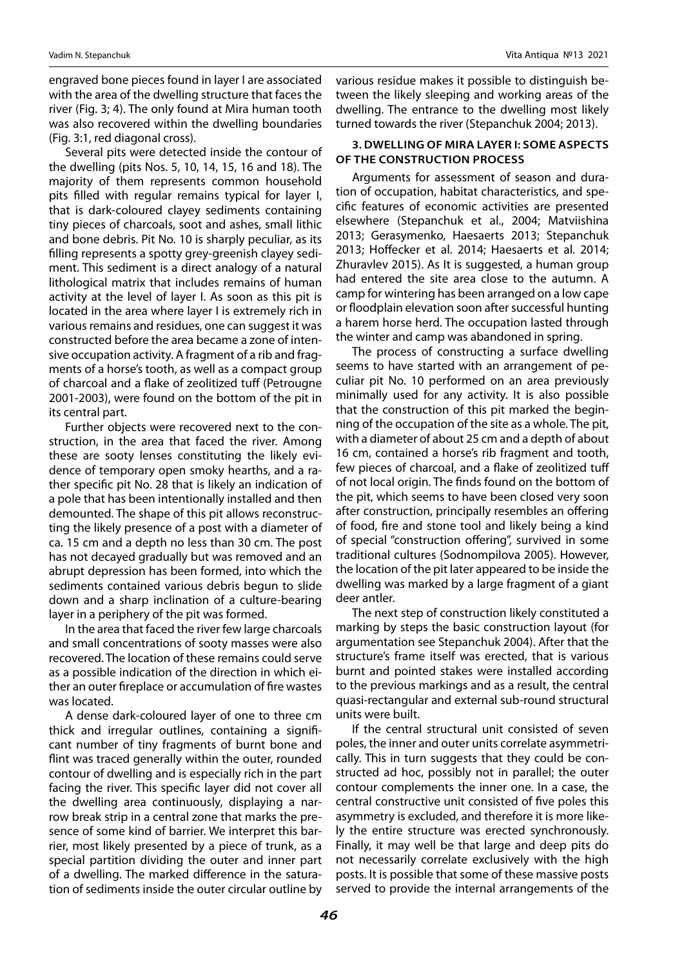engraved bone pieces found in layer I are associated with the area of the dwelling structure that faces the river (Fig. 3; 4). The only found at Mira human tooth was also recovered within the dwelling boundaries (Fig. 3:1, red diagonal cross).

Several pits were detected inside the contour of the dwelling (pits Nos. 5, 10, 14, 15, 16 and 18). The majority of them represents common household pits filled with regular remains typical for layer I, that is dark-coloured clayey sediments containing tiny pieces of charcoals, soot and ashes, small lithic and bone debris. Pit No. 10 is sharply peculiar, as its filling represents a spotty grey-greenish clayey sediment. This sediment is a direct analogy of a natural lithological matrix that includes remains of human activity at the level of layer I. As soon as this pit is located in the area where layer I is extremely rich in various remains and residues, one can suggest it was constructed before the area became a zone of intensive occupation activity. A fragment of a rib and fragments of a horse's tooth, as well as a compact group of charcoal and a flake of zeolitized tuff (Petrougne 2001-2003), were found on the bottom of the pit in its central part.

Further objects were recovered next to the construction, in the area that faced the river. Among these are sooty lenses constituting the likely evidence of temporary open smoky hearths, and a rather specific pit No. 28 that is likely an indication of a pole that has been intentionally installed and then demounted. The shape of this pit allows reconstructing the likely presence of a post with a diameter of ca. 15 cm and a depth no less than 30 cm. The post has not decayed gradually but was removed and an abrupt depression has been formed, into which the sediments contained various debris begun to slide down and a sharp inclination of a culture-bearing layer in a periphery of the pit was formed.

In the area that faced the river few large charcoals and small concentrations of sooty masses were also recovered. The location of these remains could serve as a possible indication of the direction in which either an outer fireplace or accumulation of fire wastes was located.

A dense dark-coloured layer of one to three cm thick and irregular outlines, containing a significant number of tiny fragments of burnt bone and flint was traced generally within the outer, rounded contour of dwelling and is especially rich in the part facing the river. This specific layer did not cover all the dwelling area continuously, displaying a narrow break strip in a central zone that marks the presence of some kind of barrier. We interpret this barrier, most likely presented by a piece of trunk, as a special partition dividing the outer and inner part of a dwelling. The marked difference in the saturation of sediments inside the outer circular outline by various residue makes it possible to distinguish between the likely sleeping and working areas of the dwelling. The entrance to the dwelling most likely turned towards the river (Stepanchuk 2004; 2013).

### **3. Dwelling of Mira layer I: some aspects of the construction process**

Arguments for assessment of season and duration of occupation, habitat characteristics, and specific features of economic activities are presented elsewhere (Stepanchuk et al., 2004; Matviishina 2013; Gerasymenko, Haesaerts 2013; Stepanchuk 2013; Hoffecker et al. 2014; Haesaerts et al. 2014; Zhuravlev 2015). As It is suggested, a human group had entered the site area close to the autumn. A camp for wintering has been arranged on a low cape or floodplain elevation soon after successful hunting a harem horse herd. The occupation lasted through the winter and camp was abandoned in spring.

The process of constructing a surface dwelling seems to have started with an arrangement of peculiar pit No. 10 performed on an area previously minimally used for any activity. It is also possible that the construction of this pit marked the beginning of the occupation of the site as a whole. The pit, with a diameter of about 25 cm and a depth of about 16 cm, contained a horse's rib fragment and tooth, few pieces of charcoal, and a flake of zeolitized tuff of not local origin. The finds found on the bottom of the pit, which seems to have been closed very soon after construction, principally resembles an offering of food, fire and stone tool and likely being a kind of special "construction offering", survived in some traditional cultures (Sodnompilova 2005). However, the location of the pit later appeared to be inside the dwelling was marked by a large fragment of a giant deer antler.

The next step of construction likely constituted a marking by steps the basic construction layout (for argumentation see Stepanchuk 2004). After that the structure's frame itself was erected, that is various burnt and pointed stakes were installed according to the previous markings and as a result, the central quasi-rectangular and external sub-round structural units were built.

If the central structural unit consisted of seven poles, the inner and outer units correlate asymmetrically. This in turn suggests that they could be constructed ad hoc, possibly not in parallel; the outer contour complements the inner one. In a case, the central constructive unit consisted of five poles this asymmetry is excluded, and therefore it is more likely the entire structure was erected synchronously. Finally, it may well be that large and deep pits do not necessarily correlate exclusively with the high posts. It is possible that some of these massive posts served to provide the internal arrangements of the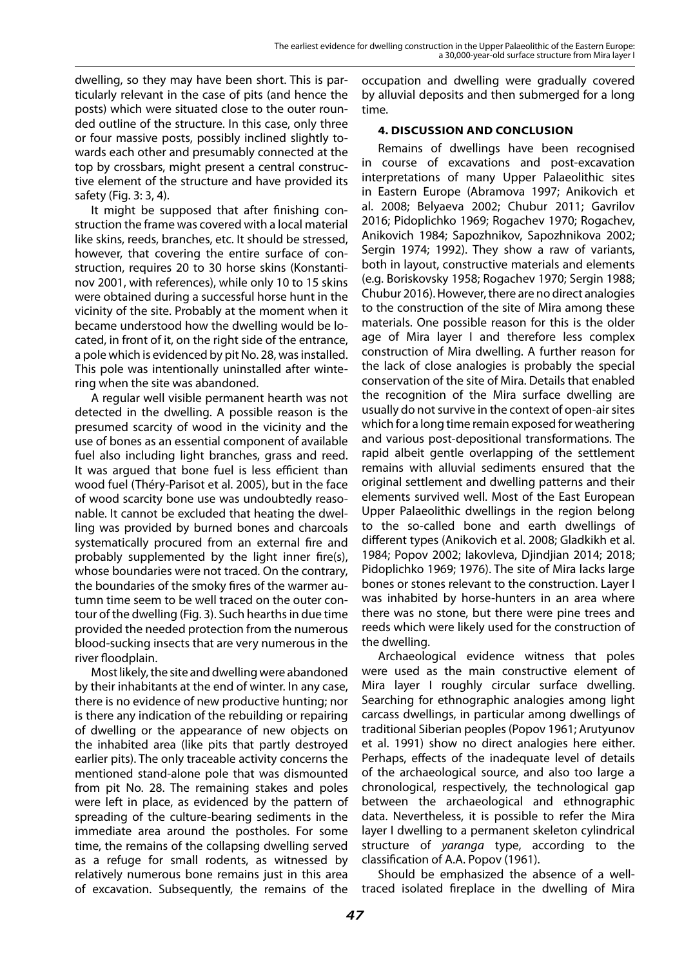dwelling, so they may have been short. This is particularly relevant in the case of pits (and hence the posts) which were situated close to the outer rounded outline of the structure. In this case, only three or four massive posts, possibly inclined slightly towards each other and presumably connected at the top by crossbars, might present a central constructive element of the structure and have provided its safety (Fig. 3: 3, 4).

It might be supposed that after finishing construction the frame was covered with a local material like skins, reeds, branches, etc. It should be stressed, however, that covering the entire surface of construction, requires 20 to 30 horse skins (Konstantinov 2001, with references), while only 10 to 15 skins were obtained during a successful horse hunt in the vicinity of the site. Probably at the moment when it became understood how the dwelling would be located, in front of it, on the right side of the entrance, a pole which is evidenced by pit No. 28, was installed. This pole was intentionally uninstalled after wintering when the site was abandoned.

A regular well visible permanent hearth was not detected in the dwelling. A possible reason is the presumed scarcity of wood in the vicinity and the use of bones as an essential component of available fuel also including light branches, grass and reed. It was argued that bone fuel is less efficient than wood fuel (Théry-Parisot et al. 2005), but in the face of wood scarcity bone use was undoubtedly reasonable. It cannot be excluded that heating the dwelling was provided by burned bones and charcoals systematically procured from an external fire and probably supplemented by the light inner fire(s), whose boundaries were not traced. On the contrary, the boundaries of the smoky fires of the warmer autumn time seem to be well traced on the outer contour of the dwelling (Fig. 3). Such hearths in due time provided the needed protection from the numerous blood-sucking insects that are very numerous in the river floodplain.

Most likely, the site and dwelling were abandoned by their inhabitants at the end of winter. In any case, there is no evidence of new productive hunting; nor is there any indication of the rebuilding or repairing of dwelling or the appearance of new objects on the inhabited area (like pits that partly destroyed earlier pits). The only traceable activity concerns the mentioned stand-alone pole that was dismounted from pit No. 28. The remaining stakes and poles were left in place, as evidenced by the pattern of spreading of the culture-bearing sediments in the immediate area around the postholes. For some time, the remains of the collapsing dwelling served as a refuge for small rodents, as witnessed by relatively numerous bone remains just in this area of excavation. Subsequently, the remains of the

occupation and dwelling were gradually covered by alluvial deposits and then submerged for a long time.

## **4. Discussion and conclusion**

Remains of dwellings have been recognised in course of excavations and post-excavation interpretations of many Upper Palaeolithic sites in Eastern Europe (Abramova 1997; Anikovich et al. 2008; Belyaeva 2002; Chubur 2011; Gavrilov 2016; Pidoplichko 1969; Rogachev 1970; Rogachev, Anikovich 1984; Sapozhnikov, Sapozhnikova 2002; Sergin 1974; 1992). They show a raw of variants, both in layout, constructive materials and elements (e.g. Boriskovsky 1958; Rogachev 1970; Sergin 1988; Chubur 2016). However, there are no direct analogies to the construction of the site of Mira among these materials. One possible reason for this is the older age of Mira layer I and therefore less complex construction of Mira dwelling. A further reason for the lack of close analogies is probably the special conservation of the site of Mira. Details that enabled the recognition of the Mira surface dwelling are usually do not survive in the context of open-air sites which for a long time remain exposed for weathering and various post-depositional transformations. The rapid albeit gentle overlapping of the settlement remains with alluvial sediments ensured that the original settlement and dwelling patterns and their elements survived well. Most of the East European Upper Palaeolithic dwellings in the region belong to the so-called bone and earth dwellings of different types (Anikovich et al. 2008; Gladkikh et al. 1984; Popov 2002; Iakovleva, Djindjian 2014; 2018; Pidoplichko 1969; 1976). The site of Mira lacks large bones or stones relevant to the construction. Layer I was inhabited by horse-hunters in an area where there was no stone, but there were pine trees and reeds which were likely used for the construction of the dwelling.

Archaeological evidence witness that poles were used as the main constructive element of Mira layer I roughly circular surface dwelling. Searching for ethnographic analogies among light carcass dwellings, in particular among dwellings of traditional Siberian peoples (Popov 1961; Arutyunov et al. 1991) show no direct analogies here either. Perhaps, effects of the inadequate level of details of the archaeological source, and also too large a chronological, respectively, the technological gap between the archaeological and ethnographic data. Nevertheless, it is possible to refer the Mira layer I dwelling to a permanent skeleton cylindrical structure of *yaranga* type, according to the classification of A.A. Popov (1961).

Should be emphasized the absence of a welltraced isolated fireplace in the dwelling of Mira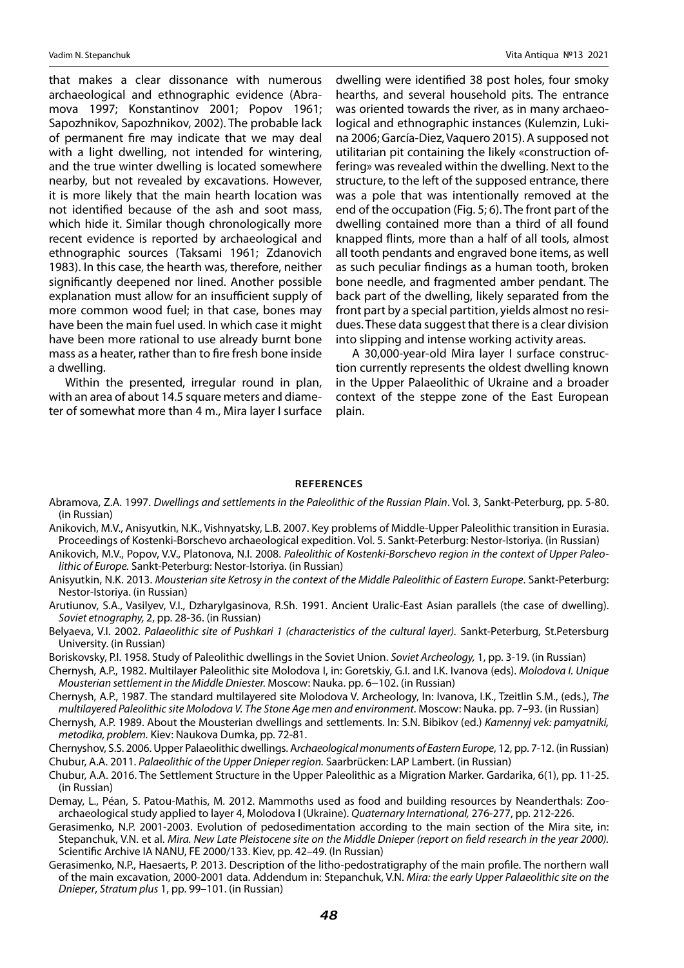that makes a clear dissonance with numerous archaeological and ethnographic evidence (Abramova 1997; Konstantinov 2001; Popov 1961; Sapozhnikov, Sapozhnikov, 2002). The probable lack of permanent fire may indicate that we may deal with a light dwelling, not intended for wintering, and the true winter dwelling is located somewhere nearby, but not revealed by excavations. However, it is more likely that the main hearth location was not identified because of the ash and soot mass, which hide it. Similar though chronologically more recent evidence is reported by archaeological and ethnographic sources (Taksami 1961; Zdanovich 1983). In this case, the hearth was, therefore, neither significantly deepened nor lined. Another possible explanation must allow for an insufficient supply of more common wood fuel; in that case, bones may have been the main fuel used. In which case it might have been more rational to use already burnt bone mass as a heater, rather than to fire fresh bone inside a dwelling.

Within the presented, irregular round in plan, with an area of about 14.5 square meters and diameter of somewhat more than 4 m., Mira layer I surface dwelling were identified 38 post holes, four smoky hearths, and several household pits. The entrance was oriented towards the river, as in many archaeological and ethnographic instances (Kulemzin, Lukina 2006; García-Diez, Vaquero 2015). A supposed not utilitarian pit containing the likely «construction offering» was revealed within the dwelling. Next to the structure, to the left of the supposed entrance, there was a pole that was intentionally removed at the end of the occupation (Fig. 5; 6). The front part of the dwelling contained more than a third of all found knapped flints, more than a half of all tools, almost all tooth pendants and engraved bone items, as well as such peculiar findings as a human tooth, broken bone needle, and fragmented amber pendant. The back part of the dwelling, likely separated from the front part by a special partition, yields almost no residues. These data suggest that there is a clear division into slipping and intense working activity areas.

A 30,000-year-old Mira layer I surface construction currently represents the oldest dwelling known in the Upper Palaeolithic of Ukraine and a broader context of the steppe zone of the East European plain.

#### **References**

- Abramova, Z.A. 1997. *Dwellings and settlements in the Paleolithic of the Russian Plain*. Vol. 3, Sankt-Peterburg, pp. 5-80. (in Russian)
- Anikovich, M.V., Anisyutkin, N.K., Vishnyatsky, L.B. 2007. Key problems of Middle-Upper Paleolithic transition in Eurasia. Proceedings of Kostenki-Borschevo archaeological expedition. Vol. 5. Sankt-Peterburg: Nestor-Istoriya. (in Russian)
- Anikovich, M.V., Popov, V.V., Platonova, N.I. 2008. *Paleolithic of Kostenki-Borschevo region in the context of Upper Paleolithic of Europe.* Sankt-Peterburg: Nestor-Istoriya. (in Russian)
- Anisyutkin, N.K. 2013. *Mousterian site Ketrosy in the context of the Middle Paleolithic of Eastern Europe*. Sankt-Peterburg: Nestor-Istoriya. (in Russian)
- Arutiunov, S.A., Vasilyev, V.I., Dzharylgasinova, R.Sh. 1991. Ancient Uralic-East Asian parallels (the case of dwelling). *Soviet etnography,* 2, pp. 28-36. (in Russian)
- Belyaeva, V.I. 2002. *Palaeolithic site of Pushkari 1 (characteristics of the cultural layer).* Sankt-Peterburg, St.Petersburg University. (in Russian)
- Boriskovsky, P.I. 1958. Study of Paleolithic dwellings in the Soviet Union. *Soviet Archeology,* 1, pp. 3-19. (in Russian)
- Chernysh, A.P., 1982. Multilayer Paleolithic site Molodova I, in: Goretskiy, G.I. and I.K. Ivanova (eds). *Molodova I. Unique Mousterian settlement in the Middle Dniester.* Moscow: Nauka. pp. 6−102. (in Russian)
- Chernysh, A.P., 1987. The standard multilayered site Molodova V. Archeology, In: Ivanova, I.K., Tzeitlin S.M., (eds.), *The multilayered Paleolithic site Molodova V. The Stone Age men and environment*. Moscow: Nauka. pp. 7–93. (in Russian)
- Chernysh, A.P. 1989. About the Mousterian dwellings and settlements. In: S.N. Bibikov (ed.) *Kamennyj vek: pamyatniki, metodika, problem.* Kiev: Naukova Dumka, pp. 72-81.
- Chernyshov, S.S. 2006. Upper Palaeolithic dwellings. A*rchaeological monuments of Eastern Europe*, 12, pp. 7-12. (in Russian) Chubur, A.A. 2011. *Palaeolithic of the Upper Dnieper region.* Saarbrücken: LAP Lambert. (in Russian)
- Chubur, A.A. 2016. The Settlement Structure in the Upper Paleolithic as a Migration Marker. Gardarika, 6(1), pp. 11-25. (in Russian)
- Demay, L., Péan, S. Patou-Mathis, M. 2012. Mammoths used as food and building resources by Neanderthals: Zooarchaeological study applied to layer 4, Molodova I (Ukraine). *Quaternary International,* 276-277, pp. 212-226.
- Gerasimenko, N.P. 2001-2003. Evolution of pedosedimentation according to the main section of the Mira site, in: Stepanchuk, V.N. et al. *Mira. New Late Pleistocene site on the Middle Dnieper (report on field research in the year 2000).*  Scientific Archive IA NANU, FE 2000/133. Kiev, pp. 42–49. (In Russian)
- Gerasimenko, N.P., Haesaerts, P. 2013. Description of the litho-pedostratigraphy of the main profile. The northern wall of the main excavation, 2000-2001 data. Addendum in: Stepanchuk, V.N. *Mira: the early Upper Palaeolithic site on the Dnieper*, *Stratum plus* 1, pp. 99–101. (in Russian)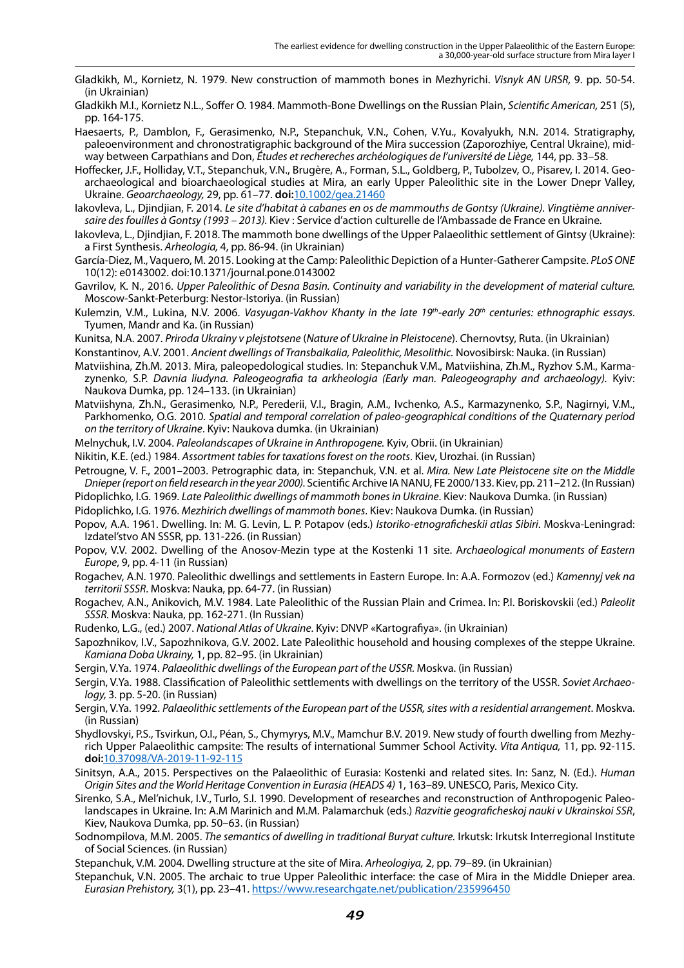- Gladkikh, M., Kornietz, N. 1979. New construction of mammoth bones in Mezhyrichi. *Visnyk AN URSR,* 9. pp. 50-54. (in Ukrainian)
- Gladkikh M.I., Kornietz N.L., Soffer O. 1984. Mammoth-Bone Dwellings on the Russian Plain, *Scientific American,* 251 (5), pp. 164-175.
- Haesaerts, P., Damblon, F., Gerasimenko, N.P., Stepanchuk, V.N., Cohen, V.Yu., Kovalyukh, N.N. 2014. Stratigraphy, paleoenvironment and chronostratigraphic background of the Mira succession (Zaporozhiye, Central Ukraine), midway between Carpathians and Don, *Études et rechereches archéologiques de l'université de Liège,* 144, pp. 33–58.
- Hoffecker, J.F., Holliday, V.T., Stepanchuk, V.N., Brugère, A., Forman, S.L., Goldberg, P., Tubolzev, O., Pisarev, I. 2014. Geoarchaeological and bioarchaeological studies at Mira, an early Upper Paleolithic site in the Lower Dnepr Valley, Ukraine. *Geoarchaeology,* 29, pp. 61–77. **doi:**[10.1002/gea.21460](https://www.doi.org/10.1002/gea.21460)
- Iakovleva, L., Djindjian, F. 2014. *Le site d'habitat à cabanes en os de mammouths de Gontsy (Ukraine). Vingtième anniversaire des fouilles à Gontsy (1993 – 2013).* Kiev : Service d'action culturelle de l'Ambassade de France en Ukraine.
- Iakovleva, L., Djindjian, F. 2018. The mammoth bone dwellings of the Upper Palaeolithic settlement of Gintsy (Ukraine): a First Synthesis. *Arheologia,* 4, pp. 86-94. (in Ukrainian)
- García-Diez, M., Vaquero, M. 2015. Looking at the Camp: Paleolithic Depiction of a Hunter-Gatherer Campsite. *PLoSONE* 10(12): e0143002. doi:10.1371/journal.pone.0143002
- Gavrilov, K. N., 2016. *Upper Paleolithic of Desna Basin. Continuity and variability in the development of material culture.* Moscow-Sankt-Peterburg: Nestor-Istoriya. (in Russian)
- Kulemzin, V.M., Lukina, N.V. 2006. *Vasyugan-Vakhov Khanty in the late 19th-early 20th centuries: ethnographic essays*. Tyumen, Mandr and Ka. (in Russian)
- Kunitsa, N.A. 2007. *Priroda Ukrainy v plejstotsene* (*Nature of Ukraine in Pleistocene*). Chernovtsy, Ruta. (in Ukrainian)

Konstantinov, A.V. 2001. *Ancient dwellings of Transbaikalia, Paleolithic, Mesolithic.* Novosibirsk: Nauka. (in Russian)

- Matviishina, Zh.M. 2013. Mira, paleopedological studies. In: Stepanchuk V.M., Matviishina, Zh.M., Ryzhov S.M., Karmazynenko, S.P. *Davnia liudyna. Paleogeografia ta arkheologia (Early man. Paleogeography and archaeology).* Kyiv: Naukova Dumka, pp. 124–133. (in Ukrainian)
- Matviishyna, Zh.N., Gerasimenko, N.P., Perederii, V.I., Bragin, A.M., Ivchenko, A.S., Karmazynenko, S.P., Nagirnyi, V.M., Parkhomenko, O.G. 2010. *Spatial and temporal correlation of paleo-geographical conditions of the Quaternary period on the territory of Ukraine*. Kyiv: Naukova dumka. (in Ukrainian)
- Melnychuk, I.V. 2004. *Paleolandscapes of Ukraine in Anthropogene.* Kyiv, Obrii. (in Ukrainian)
- Nikitin, K.E. (ed.) 1984. *Assortment tables for taxations forest on the roots*. Kiev, Urozhai. (in Russian)
- Petrougne, V. F., 2001–2003. Petrographic data, in: Stepanchuk, V.N. et al. *Mira. New Late Pleistocene site on the Middle Dnieper (report on field research in the year 2000).* Scientific Archive IA NANU, FE 2000/133. Kiev, pp. 211–212. (In Russian)
- Pidoplichko, I.G. 1969. *Late Paleolithic dwellings of mammoth bones in Ukraine*. Kiev: Naukova Dumka. (in Russian)
- Pidoplichko, I.G. 1976. *Mezhirich dwellings of mammoth bones*. Kiev: Naukova Dumka. (in Russian)
- Popov, A.A. 1961. Dwelling. In: M. G. Levin, L. P. Potapov (eds.) *Istoriko-etnograficheskii atlas Sibiri*. Moskva-Leningrad: Izdatel'stvo AN SSSR, pp. 131-226. (in Russian)
- Popov, V.V. 2002. Dwelling of the Anosov-Mezin type at the Kostenki 11 site. A*rchaeological monuments of Eastern Europe*, 9, pp. 4-11 (in Russian)
- Rogachev, A.N. 1970. Paleolithic dwellings and settlements in Eastern Europe. In: A.A. Formozov (ed.) *Kamennyj vek na territorii SSSR*. Moskva: Nauka, pp. 64-77. (in Russian)
- Rogachev, A.N., Anikovich, M.V. 1984. Late Paleolithic of the Russian Plain and Crimea. In: P.I. Boriskovskii (ed.) *Paleolit SSSR.* Moskva: Nauka, pp. 162-271. (In Russian)
- Rudenko, L.G., (ed.) 2007. *National Atlas of Ukraine*. Kyiv: DNVP «Kartografiya». (in Ukrainian)
- Sapozhnikov, І.V., Sapozhnikova, G.V. 2002. Late Paleolithic household and housing complexes of the steppe Ukraine. *Kamiana Doba Ukrainy,* 1, pp. 82–95. (in Ukrainian)
- Sergin, V.Ya. 1974. *Palaeolithic dwellings of the European part of the USSR.* Moskva. (in Russian)
- Sergin, V.Ya. 1988. Classification of Paleolithic settlements with dwellings on the territory of the USSR. *Soviet Archaeology,* 3. pp. 5-20. (in Russian)
- Sergin, V.Ya. 1992. *Palaeolithic settlements of the European part of the USSR, sites with a residential arrangement*. Moskva. (in Russian)
- Shydlovskyi, P.S., Tsvirkun, O.I., Péan, S., Chymyrys, M.V., Mamchur B.V. 2019. New study of fourth dwelling from Mezhyrich Upper Palaeolithic campsite: The results of international Summer School Activity. *Vita Antiqua,* 11, pp. 92-115. **doi:**[10.37098/VA-2019-11-92-115](https://www.doi.org/10.37098/VA-2019-11-92-115)
- Sinitsyn, A.A., 2015. Perspectives on the Palaeolithic of Eurasia: Kostenki and related sites. In: Sanz, N. (Ed.). *Human Origin Sites and the World Heritage Convention in Eurasia (HEADS 4)* 1, 163–89. UNESCO, Paris, Mexico City.
- Sirenko, S.A., Mel'nichuk, I.V., Turlo, S.I. 1990. Development of researches and reconstruction of Anthropogenic Paleolandscapes in Ukraine. In: A.M Marinich and M.M. Palamarchuk (eds.) *Razvitie geograficheskoj nauki v Ukrainskoi SSR*, Kiev, Naukova Dumka, pp. 50–63. (in Russian)
- Sodnompilova, M.M. 2005. *The semantics of dwelling in traditional Buryat culture.* Irkutsk: Irkutsk Interregional Institute of Social Sciences. (in Russian)
- Stepanchuk, V.M. 2004. Dwelling structure at the site of Mira. *Arheologiya,* 2, pp. 79–89. (in Ukrainian)
- Stepanchuk, V.N. 2005. The archaic to true Upper Paleolithic interface: the case of Mira in the Middle Dnieper area. *Eurasian Prehistory,* 3(1), pp. 23–41.<https://www.researchgate.net/publication/235996450>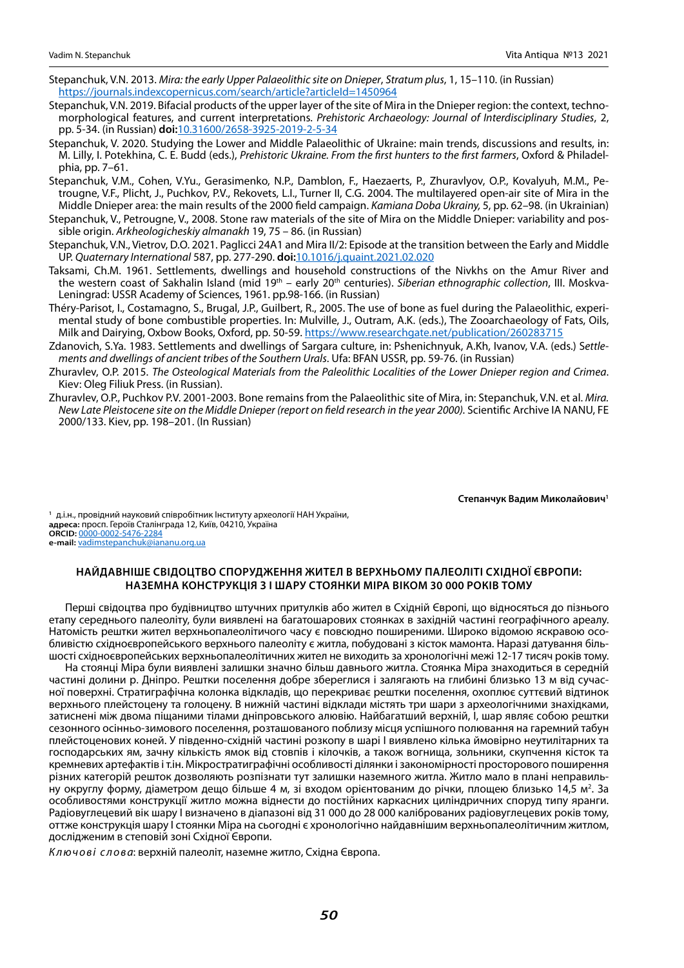- Stepanchuk, V.N. 2013. *Mira: the early Upper Palaeolithic site on Dnieper*, *Stratum plus*, 1, 15–110. (in Russian) <https://journals.indexcopernicus.com/search/article?articleId=1450964>
- Stepanchuk, V.N. 2019. Bifacial products of the upper layer of the site of Mira in the Dnieper region: the context, techno-morphological features, and current interpretations. *Prehistoric Archaeology: Journal of Interdisciplinary Studies*, 2, pp. 5-34. (in Russian) **doi:**[10.31600/2658-3925-2019-2-5-34](https://www.doi.org/10.31600/2658-3925-2019-2-5-34)
- Stepanchuk, V. 2020. Studying the Lower and Middle Palaeolithic of Ukraine: main trends, discussions and results, in: M. Lilly, I. Potekhina, C. E. Budd (eds.), *Prehistoric Ukraine. From the first hunters to the first farmers*, Oxford & Philadelphia, pp. 7–61.
- Stepanchuk, V.M., Cohen, V.Yu., Gerasimenko, N.P., Damblon, F., Haezaerts, P., Zhuravlyov, O.P., Kovalyuh, M.M., Petrougne, V.F., Plіcht, J., Puchkov, P.V., Rekovets, L.І., Turner II, C.G. 2004. The multilayered open-air site of Mira in the Middle Dnieper area: the main results of the 2000 field campaign. *Kamiana Doba Ukrainy,* 5, pp. 62–98. (in Ukrainian)
- Stepanchuk, V., Petrоugne, V., 2008. Stone raw materials of the site of Mira on the Middle Dnieper: variability and possible origin. *Arkheologicheskiy almanakh* 19, 75 – 86. (in Russian)
- Stepanchuk, V.N., Vietrov, D.O. 2021. Paglicci 24A1 and Mira II/2: Episode at the transition between the Early and Middle UP. *Quaternary International* 587, pp. 277-290. **doi:**[10.1016/j.quaint.2021.02.020](https://www.doi.org/10.1016/j.quaint.2021.02.020)
- Taksami, Ch.M. 1961. Settlements, dwellings and household constructions of the Nivkhs on the Amur River and the western coast of Sakhalin Island (mid 19th – early 20th centuries). *Siberian ethnographic collection*, III. Moskva-Leningrad: USSR Academy of Sciences, 1961. pp.98-166. (in Russian)
- Théry-Parisot, I., Costamagno, S., Brugal, J.P., Guilbert, R., 2005. The use of bone as fuel during the Palaeolithic, experimental study of bone combustible properties. In: Mulville, J., Outram, A.K. (eds.), The Zooarchaeology of Fats, Oils, Milk and Dairying, Oxbow Books, Oxford, pp. 50-59.<https://www.researchgate.net/publication/260283715>
- Zdanovich, S.Ya. 1983. Settlements and dwellings of Sargara culture, in: Pshenichnyuk, A.Kh, Ivanov, V.A. (eds.) S*ettlements and dwellings of ancient tribes of the Southern Urals*. Ufa: BFAN USSR, pp. 59-76. (in Russian)
- Zhuravlev, O.P. 2015. *The Osteological Materials from the Paleolithic Localities of the Lower Dnieper region and Crimea*. Kiev: Oleg Filiuk Press. (in Russian).
- Zhuravlev, O.P., Puchkov P.V. 2001-2003. Bone remains from the Palaeolithic site of Mira, in: Stepanchuk, V.N. et al. *Mira. New Late Pleistocene site on the Middle Dnieper (report on field research in the year 2000).* Scientific Archive IA NANU, FE 2000/133. Kiev, pp. 198–201. (In Russian)

**Степанчук Вадим Миколайович1**

**<sup>1</sup>** д.і.н., провідний науковий співробітник Інституту археології НАН України, **адреса:** просп. Героїв Сталінграда 12, Київ, 04210, Україна **ORCID:** [0000-0002-5476-2284](https://orcid.org/0000-0002-5476-2284) **e-mail:** [vadimstepanchuk@iananu.org.ua](mailto:vadimstepanchuk%40iananu.org.ua?subject=)

### **Найдавніше свідоцтво спорудження жител в верхньому палеоліті Східної Європи: наземна конструкція з I шару стоянки Міра віком 30 000 років тому**

Перші свідоцтва про будівництво штучних притулків або жител в Східній Європі, що відносяться до пізнього етапу середнього палеоліту, були виявлені на багатошарових стоянках в західній частині географічного ареалу. Натомість рештки жител верхньопалеолітичого часу є повсюдно поширеними. Широко відомою яскравою особливістю східноєвропейського верхнього палеоліту є житла, побудовані з кісток мамонта. Наразі датування більшості східноєвропейських верхньопалеолітичних жител не виходить за хронологічні межі 12-17 тисяч років тому.

На стоянці Міра були виявлені залишки значно більш давнього житла. Стоянка Міра знаходиться в середній частині долини р. Дніпро. Рештки поселення добре збереглися і залягають на глибині близько 13 м від сучасної поверхні. Стратиграфічна колонка відкладів, що перекриває рештки поселення, охоплює суттєвий відтинок верхнього плейстоцену та голоцену. В нижній частині відклади містять три шари з археологічними знахідками, затиснені між двома піщаними тілами дніпровського алювію. Найбагатший верхній, І, шар являє собою рештки сезонного осінньо-зимового поселення, розташованого поблизу місця успішного полювання на гаремний табун плейстоценових коней. У південно-східній частині розкопу в шарі I виявлено кілька ймовірно неутилітарних та господарських ям, зачну кількість ямок від стовпів і кілочків, а також вогнища, зольники, скупчення кісток та кремневих артефактів і т.ін. Мікростратиграфічні особливості ділянки і закономірності просторового поширення різних категорій решток дозволяють розпізнати тут залишки наземного житла. Житло мало в плані неправильну округлу форму, діаметром дещо більше 4 м, зі входом орієнтованим до річки, площею близько 14,5 м<sup>2</sup>. За особливостями конструкції житло можна віднести до постійних каркасних циліндричних споруд типу яранги. Радіовуглецевий вік шару I визначено в діапазоні від 31 000 до 28 000 каліброваних радіовуглецевих років тому, оттже конструкція шару I стоянки Міра на сьогодні є хронологічно найдавнішим верхньопалеолітичним житлом, дослідженим в степовій зоні Східної Європи.

*Ключові слова*: верхній палеоліт, наземне житло, Східна Європа.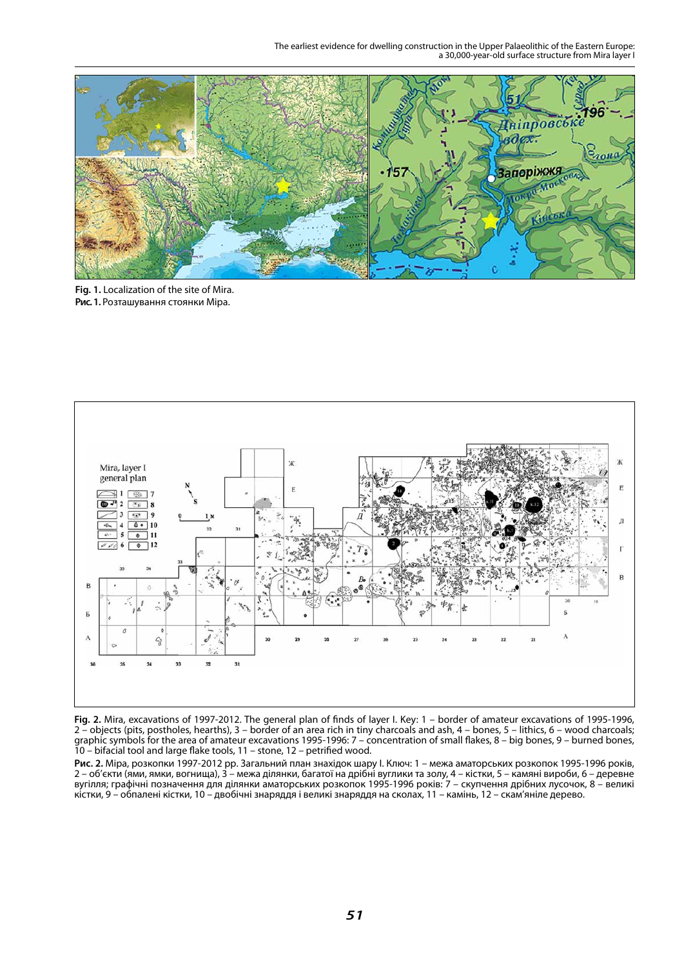The earliest evidence for dwelling construction in the Upper Palaeolithic of the Eastern Europe: a 30,000-year-old surface structure from Mira layer I



**Fig. 1.** Localization of the site of Mira. **Рис. 1.** Розташування стоянки Міра.



**Fig. 2.** Mira, excavations of 1997-2012. The general plan of finds of layer I. Key: 1 – border of amateur excavations of 1995-1996, 2 – objects (pits, postholes, hearths), 3 – border of an area rich in tiny charcoals and ash, 4 – bones, 5 – lithics, 6 – wood charcoals; graphic symbols for the area of amateur excavations 1995-1996: 7 – concentration of small flakes, 8 – big bones, 9 – burned bones, 10 – bifacial tool and large flake tools, 11 – stone, 12 – petrified wood.

**Рис. 2.** Міра, розкопки 1997-2012 рр. Загальний план знахідок шару I. Ключ: 1 – межа аматорських розкопок 1995-1996 років, 2 – об'єкти (ями, ямки, вогнища), 3 – межа ділянки, багатої на дрібні вуглики та золу, 4 – кістки, 5 – камяні вироби, 6 – деревне вугілля; графічні позначення для ділянки аматорських розкопок 1995-1996 років: 7 – скупчення дрібних лусочок, 8 – великі кістки, 9 – обпалені кістки, 10 – двобічні знаряддя і великі знаряддя на сколах, 11 – камінь, 12 – скам'яніле дерево.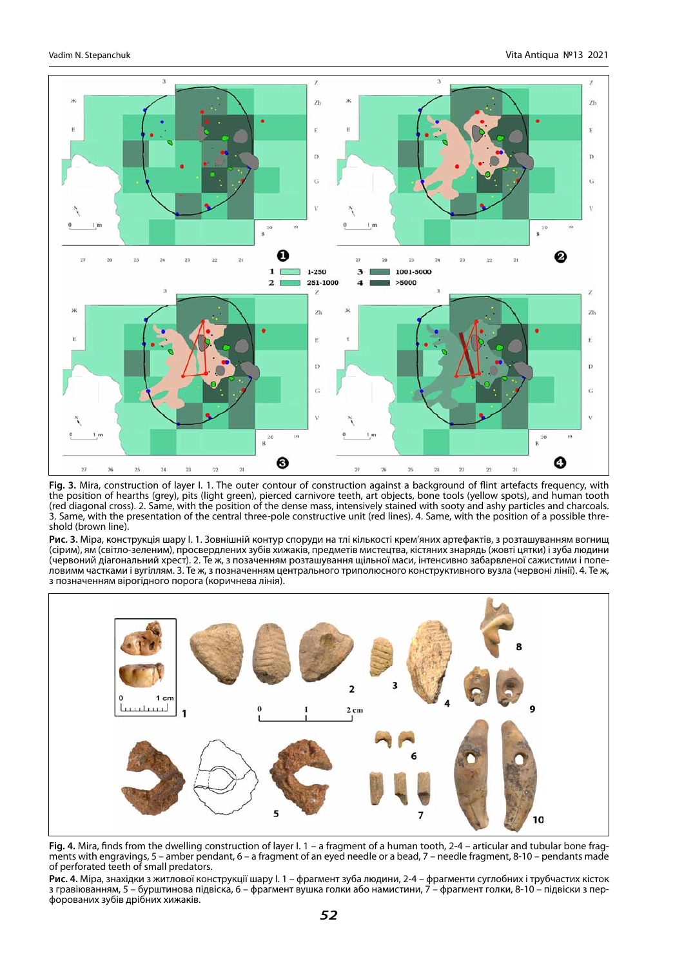

**Fig. 3.** Mira, construction of layer I. 1. The outer contour of construction against a background of flint artefacts frequency, with the position of hearths (grey), pits (light green), pierced carnivore teeth, art objects, bone tools (yellow spots), and human tooth (red diagonal cross). 2. Same, with the position of the dense mass, intensively stained with sooty and ashy particles and charcoals. 3. Same, with the presentation of the central three-pole constructive unit (red lines). 4. Same, with the position of a possible threshold (brown line).

**Рис. 3.** Міра, конструкція шару I. 1. Зовнішній контур споруди на тлі кількості крем'яних артефактів, з розташуванням вогнищ (сірим), ям (світло-зеленим), просвердлених зубів хижаків, предметів мистецтва, кістяних знарядь (жовті цятки) і зуба людини (червоний діагональний хрест). 2. Те ж, з позаченням розташування щільної маси, інтенсивно забарвленої сажистими і попеловимм частками і вугіллям. 3. Те ж, з позначенням центрального триполюсного конструктивного вузла (червоні лінії). 4. Те ж, з позначенням вірогідного порога (коричнева лінія).



**Fig. 4.** Mira, finds from the dwelling construction of layer I. 1 – a fragment of a human tooth, 2-4 – articular and tubular bone fragments with engravings, 5 – amber pendant, 6 – a fragment of an eyed needle or a bead, 7 – needle fragment, 8-10 – pendants made of perforated teeth of small predators.

**Рис. 4.** Міра, знахідки з житлової конструкції шару I. 1 – фрагмент зуба людини, 2-4 – фрагменти суглобних і трубчастих кісток з гравіюванням, 5 – бурштинова підвіска, 6 – фрагмент вушка голки або намистини, 7 – фрагмент голки, 8-10 – підвіски з пер-<br>форованих зубів дрібних хижаків.